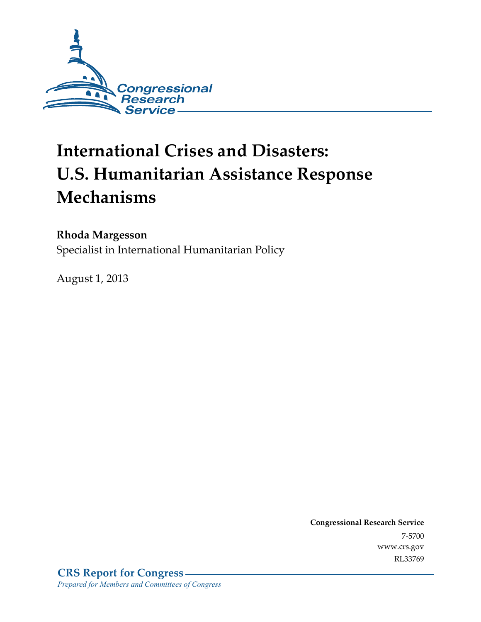

# **International Crises and Disasters: U.S. Humanitarian Assistance Response Mechanisms**

#### **Rhoda Margesson**

Specialist in International Humanitarian Policy

August 1, 2013

**Congressional Research Service**  7-5700 www.crs.gov RL33769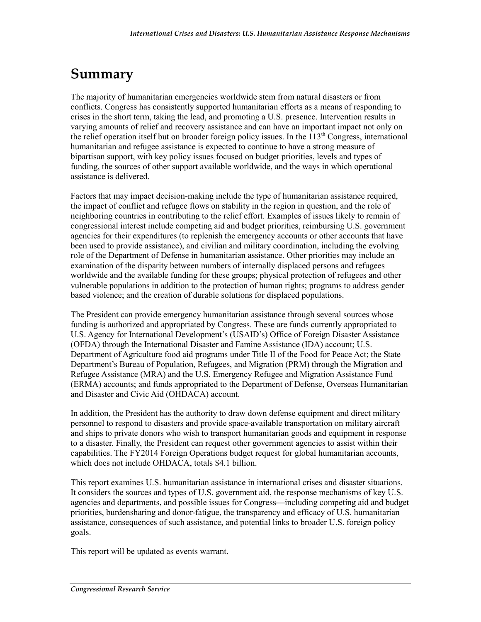## **Summary**

The majority of humanitarian emergencies worldwide stem from natural disasters or from conflicts. Congress has consistently supported humanitarian efforts as a means of responding to crises in the short term, taking the lead, and promoting a U.S. presence. Intervention results in varying amounts of relief and recovery assistance and can have an important impact not only on the relief operation itself but on broader foreign policy issues. In the  $113<sup>th</sup>$  Congress, international humanitarian and refugee assistance is expected to continue to have a strong measure of bipartisan support, with key policy issues focused on budget priorities, levels and types of funding, the sources of other support available worldwide, and the ways in which operational assistance is delivered.

Factors that may impact decision-making include the type of humanitarian assistance required, the impact of conflict and refugee flows on stability in the region in question, and the role of neighboring countries in contributing to the relief effort. Examples of issues likely to remain of congressional interest include competing aid and budget priorities, reimbursing U.S. government agencies for their expenditures (to replenish the emergency accounts or other accounts that have been used to provide assistance), and civilian and military coordination, including the evolving role of the Department of Defense in humanitarian assistance. Other priorities may include an examination of the disparity between numbers of internally displaced persons and refugees worldwide and the available funding for these groups; physical protection of refugees and other vulnerable populations in addition to the protection of human rights; programs to address gender based violence; and the creation of durable solutions for displaced populations.

The President can provide emergency humanitarian assistance through several sources whose funding is authorized and appropriated by Congress. These are funds currently appropriated to U.S. Agency for International Development's (USAID's) Office of Foreign Disaster Assistance (OFDA) through the International Disaster and Famine Assistance (IDA) account; U.S. Department of Agriculture food aid programs under Title II of the Food for Peace Act; the State Department's Bureau of Population, Refugees, and Migration (PRM) through the Migration and Refugee Assistance (MRA) and the U.S. Emergency Refugee and Migration Assistance Fund (ERMA) accounts; and funds appropriated to the Department of Defense, Overseas Humanitarian and Disaster and Civic Aid (OHDACA) account.

In addition, the President has the authority to draw down defense equipment and direct military personnel to respond to disasters and provide space-available transportation on military aircraft and ships to private donors who wish to transport humanitarian goods and equipment in response to a disaster. Finally, the President can request other government agencies to assist within their capabilities. The FY2014 Foreign Operations budget request for global humanitarian accounts, which does not include OHDACA, totals \$4.1 billion.

This report examines U.S. humanitarian assistance in international crises and disaster situations. It considers the sources and types of U.S. government aid, the response mechanisms of key U.S. agencies and departments, and possible issues for Congress—including competing aid and budget priorities, burdensharing and donor-fatigue, the transparency and efficacy of U.S. humanitarian assistance, consequences of such assistance, and potential links to broader U.S. foreign policy goals.

This report will be updated as events warrant.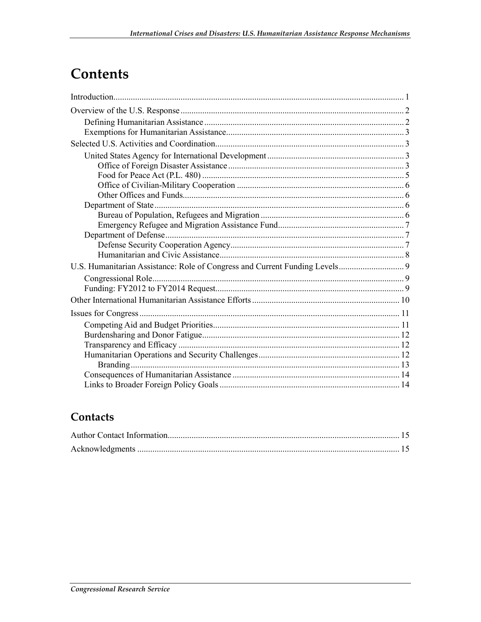## **Contents**

### Contacts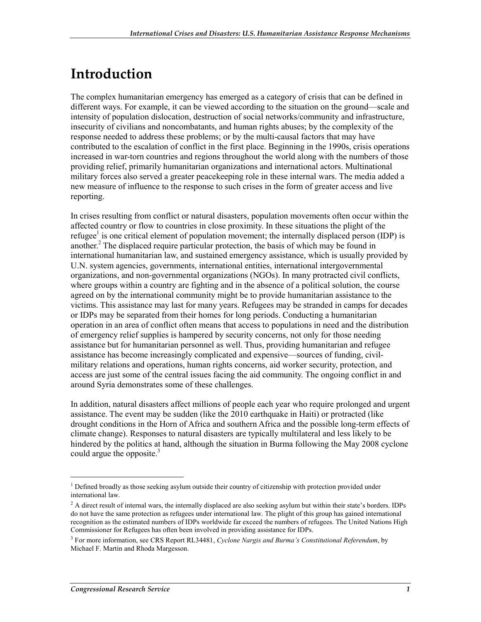## **Introduction**

The complex humanitarian emergency has emerged as a category of crisis that can be defined in different ways. For example, it can be viewed according to the situation on the ground—scale and intensity of population dislocation, destruction of social networks/community and infrastructure, insecurity of civilians and noncombatants, and human rights abuses; by the complexity of the response needed to address these problems; or by the multi-causal factors that may have contributed to the escalation of conflict in the first place. Beginning in the 1990s, crisis operations increased in war-torn countries and regions throughout the world along with the numbers of those providing relief, primarily humanitarian organizations and international actors. Multinational military forces also served a greater peacekeeping role in these internal wars. The media added a new measure of influence to the response to such crises in the form of greater access and live reporting.

In crises resulting from conflict or natural disasters, population movements often occur within the affected country or flow to countries in close proximity. In these situations the plight of the refugee<sup>1</sup> is one critical element of population movement; the internally displaced person (IDP) is another.<sup>2</sup> The displaced require particular protection, the basis of which may be found in international humanitarian law, and sustained emergency assistance, which is usually provided by U.N. system agencies, governments, international entities, international intergovernmental organizations, and non-governmental organizations (NGOs). In many protracted civil conflicts, where groups within a country are fighting and in the absence of a political solution, the course agreed on by the international community might be to provide humanitarian assistance to the victims. This assistance may last for many years. Refugees may be stranded in camps for decades or IDPs may be separated from their homes for long periods. Conducting a humanitarian operation in an area of conflict often means that access to populations in need and the distribution of emergency relief supplies is hampered by security concerns, not only for those needing assistance but for humanitarian personnel as well. Thus, providing humanitarian and refugee assistance has become increasingly complicated and expensive—sources of funding, civilmilitary relations and operations, human rights concerns, aid worker security, protection, and access are just some of the central issues facing the aid community. The ongoing conflict in and around Syria demonstrates some of these challenges.

In addition, natural disasters affect millions of people each year who require prolonged and urgent assistance. The event may be sudden (like the 2010 earthquake in Haiti) or protracted (like drought conditions in the Horn of Africa and southern Africa and the possible long-term effects of climate change). Responses to natural disasters are typically multilateral and less likely to be hindered by the politics at hand, although the situation in Burma following the May 2008 cyclone could argue the opposite.<sup>3</sup>

<sup>&</sup>lt;sup>1</sup> Defined broadly as those seeking asylum outside their country of citizenship with protection provided under international law.

<sup>&</sup>lt;sup>2</sup> A direct result of internal wars, the internally displaced are also seeking asylum but within their state's borders. IDPs do not have the same protection as refugees under international law. The plight of this group has gained international recognition as the estimated numbers of IDPs worldwide far exceed the numbers of refugees. The United Nations High Commissioner for Refugees has often been involved in providing assistance for IDPs.

<sup>3</sup> For more information, see CRS Report RL34481, *Cyclone Nargis and Burma's Constitutional Referendum*, by Michael F. Martin and Rhoda Margesson.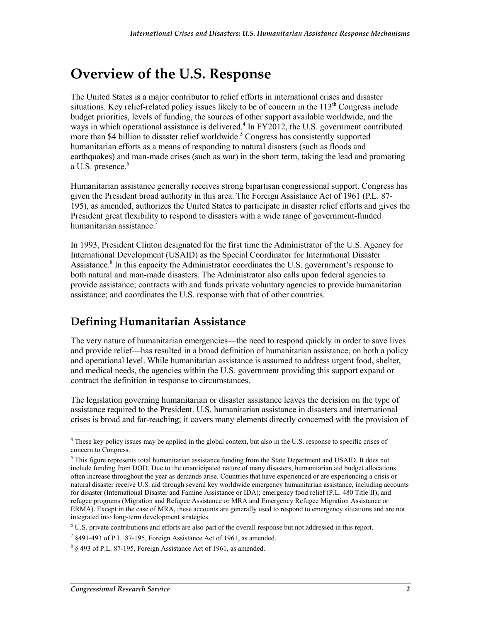## **Overview of the U.S. Response**

The United States is a major contributor to relief efforts in international crises and disaster situations. Key relief-related policy issues likely to be of concern in the  $113<sup>th</sup>$  Congress include budget priorities, levels of funding, the sources of other support available worldwide, and the ways in which operational assistance is delivered.<sup>4</sup> In FY2012, the U.S. government contributed more than \$4 billion to disaster relief worldwide.<sup>5</sup> Congress has consistently supported humanitarian efforts as a means of responding to natural disasters (such as floods and earthquakes) and man-made crises (such as war) in the short term, taking the lead and promoting a U.S. presence.<sup>6</sup>

Humanitarian assistance generally receives strong bipartisan congressional support. Congress has given the President broad authority in this area. The Foreign Assistance Act of 1961 (P.L. 87- 195), as amended, authorizes the United States to participate in disaster relief efforts and gives the President great flexibility to respond to disasters with a wide range of government-funded humanitarian assistance.

In 1993, President Clinton designated for the first time the Administrator of the U.S. Agency for International Development (USAID) as the Special Coordinator for International Disaster Assistance.<sup>8</sup> In this capacity the Administrator coordinates the U.S. government's response to both natural and man-made disasters. The Administrator also calls upon federal agencies to provide assistance; contracts with and funds private voluntary agencies to provide humanitarian assistance; and coordinates the U.S. response with that of other countries.

### **Defining Humanitarian Assistance**

The very nature of humanitarian emergencies—the need to respond quickly in order to save lives and provide relief—has resulted in a broad definition of humanitarian assistance, on both a policy and operational level. While humanitarian assistance is assumed to address urgent food, shelter, and medical needs, the agencies within the U.S. government providing this support expand or contract the definition in response to circumstances.

The legislation governing humanitarian or disaster assistance leaves the decision on the type of assistance required to the President. U.S. humanitarian assistance in disasters and international crises is broad and far-reaching; it covers many elements directly concerned with the provision of

<sup>&</sup>lt;sup>4</sup> These key policy issues may be applied in the global context, but also in the U.S. response to specific crises of concern to Congress.

 $<sup>5</sup>$  This figure represents total humanitarian assistance funding from the State Department and USAID. It does not</sup> include funding from DOD. Due to the unanticipated nature of many disasters, humanitarian aid budget allocations often increase throughout the year as demands arise. Countries that have experienced or are experiencing a crisis or natural disaster receive U.S. aid through several key worldwide emergency humanitarian assistance, including accounts for disaster (International Disaster and Famine Assistance or IDA); emergency food relief (P.L. 480 Title II); and refugee programs (Migration and Refugee Assistance or MRA and Emergency Refugee Migration Assistance or ERMA). Except in the case of MRA, these accounts are generally used to respond to emergency situations and are not integrated into long-term development strategies.

<sup>&</sup>lt;sup>6</sup> U.S. private contributions and efforts are also part of the overall response but not addressed in this report.

 $7 \text{ }\frac{\text{8491-493}}{\text{ of P.L. 87-195}}$ , Foreign Assistance Act of 1961, as amended.

<sup>8</sup> § 493 of P.L. 87-195, Foreign Assistance Act of 1961, as amended.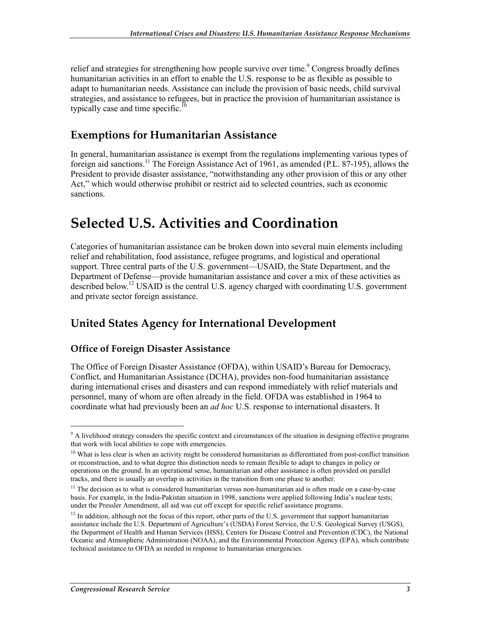relief and strategies for strengthening how people survive over time.<sup>9</sup> Congress broadly defines humanitarian activities in an effort to enable the U.S. response to be as flexible as possible to adapt to humanitarian needs. Assistance can include the provision of basic needs, child survival strategies, and assistance to refugees, but in practice the provision of humanitarian assistance is typically case and time specific.<sup>10</sup>

#### **Exemptions for Humanitarian Assistance**

In general, humanitarian assistance is exempt from the regulations implementing various types of foreign aid sanctions.<sup>11</sup> The Foreign Assistance Act of 1961, as amended (P.L. 87-195), allows the President to provide disaster assistance, "notwithstanding any other provision of this or any other Act," which would otherwise prohibit or restrict aid to selected countries, such as economic sanctions.

## **Selected U.S. Activities and Coordination**

Categories of humanitarian assistance can be broken down into several main elements including relief and rehabilitation, food assistance, refugee programs, and logistical and operational support. Three central parts of the U.S. government—USAID, the State Department, and the Department of Defense—provide humanitarian assistance and cover a mix of these activities as described below.<sup>12</sup> USAID is the central U.S. agency charged with coordinating U.S. government and private sector foreign assistance.

### **United States Agency for International Development**

#### **Office of Foreign Disaster Assistance**

The Office of Foreign Disaster Assistance (OFDA), within USAID's Bureau for Democracy, Conflict, and Humanitarian Assistance (DCHA), provides non-food humanitarian assistance during international crises and disasters and can respond immediately with relief materials and personnel, many of whom are often already in the field. OFDA was established in 1964 to coordinate what had previously been an *ad hoc* U.S. response to international disasters. It

 $\overline{a}$ 

<sup>&</sup>lt;sup>9</sup> A livelihood strategy considers the specific context and circumstances of the situation in designing effective programs that work with local abilities to cope with emergencies.

<sup>&</sup>lt;sup>10</sup> What is less clear is when an activity might be considered humanitarian as differentiated from post-conflict transition or reconstruction, and to what degree this distinction needs to remain flexible to adapt to changes in policy or operations on the ground. In an operational sense, humanitarian and other assistance is often provided on parallel tracks, and there is usually an overlap in activities in the transition from one phase to another.

 $11$  The decision as to what is considered humanitarian versus non-humanitarian aid is often made on a case-by-case basis. For example, in the India-Pakistan situation in 1998, sanctions were applied following India's nuclear tests; under the Pressler Amendment, all aid was cut off except for specific relief assistance programs.

<sup>&</sup>lt;sup>12</sup> In addition, although not the focus of this report, other parts of the U.S. government that support humanitarian assistance include the U.S. Department of Agriculture's (USDA) Forest Service, the U.S. Geological Survey (USGS), the Department of Health and Human Services (HSS), Centers for Disease Control and Prevention (CDC), the National Oceanic and Atmospheric Administration (NOAA), and the Environmental Protection Agency (EPA), which contribute technical assistance to OFDA as needed in response to humanitarian emergencies.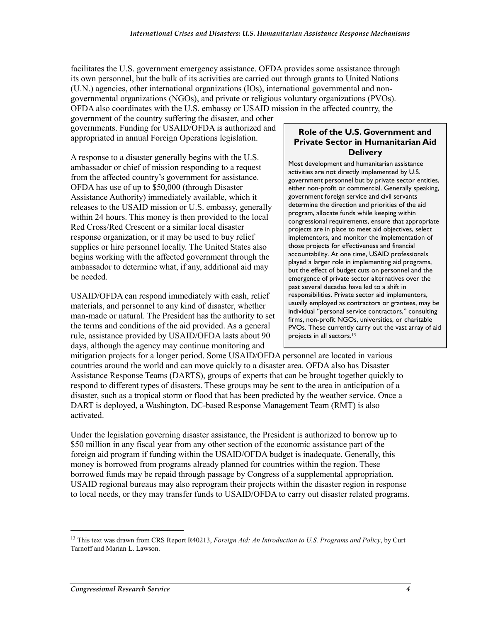facilitates the U.S. government emergency assistance. OFDA provides some assistance through its own personnel, but the bulk of its activities are carried out through grants to United Nations (U.N.) agencies, other international organizations (IOs), international governmental and nongovernmental organizations (NGOs), and private or religious voluntary organizations (PVOs). OFDA also coordinates with the U.S. embassy or USAID mission in the affected country, the

government of the country suffering the disaster, and other governments. Funding for USAID/OFDA is authorized and appropriated in annual Foreign Operations legislation.

A response to a disaster generally begins with the U.S. ambassador or chief of mission responding to a request from the affected country's government for assistance. OFDA has use of up to \$50,000 (through Disaster Assistance Authority) immediately available, which it releases to the USAID mission or U.S. embassy, generally within 24 hours. This money is then provided to the local Red Cross/Red Crescent or a similar local disaster response organization, or it may be used to buy relief supplies or hire personnel locally. The United States also begins working with the affected government through the ambassador to determine what, if any, additional aid may be needed.

USAID/OFDA can respond immediately with cash, relief materials, and personnel to any kind of disaster, whether man-made or natural. The President has the authority to set the terms and conditions of the aid provided. As a general rule, assistance provided by USAID/OFDA lasts about 90 days, although the agency may continue monitoring and

#### **Role of the U.S. Government and Private Sector in Humanitarian Aid Delivery**

Most development and humanitarian assistance activities are not directly implemented by U.S. government personnel but by private sector entities, either non-profit or commercial. Generally speaking, government foreign service and civil servants determine the direction and priorities of the aid program, allocate funds while keeping within congressional requirements, ensure that appropriate projects are in place to meet aid objectives, select implementors, and monitor the implementation of those projects for effectiveness and financial accountability. At one time, USAID professionals played a larger role in implementing aid programs, but the effect of budget cuts on personnel and the emergence of private sector alternatives over the past several decades have led to a shift in responsibilities. Private sector aid implementors, usually employed as contractors or grantees, may be individual "personal service contractors," consulting firms, non-profit NGOs, universities, or charitable PVOs. These currently carry out the vast array of aid projects in all sectors.13

mitigation projects for a longer period. Some USAID/OFDA personnel are located in various countries around the world and can move quickly to a disaster area. OFDA also has Disaster Assistance Response Teams (DARTS), groups of experts that can be brought together quickly to respond to different types of disasters. These groups may be sent to the area in anticipation of a disaster, such as a tropical storm or flood that has been predicted by the weather service. Once a DART is deployed, a Washington, DC-based Response Management Team (RMT) is also activated.

Under the legislation governing disaster assistance, the President is authorized to borrow up to \$50 million in any fiscal year from any other section of the economic assistance part of the foreign aid program if funding within the USAID/OFDA budget is inadequate. Generally, this money is borrowed from programs already planned for countries within the region. These borrowed funds may be repaid through passage by Congress of a supplemental appropriation. USAID regional bureaus may also reprogram their projects within the disaster region in response to local needs, or they may transfer funds to USAID/OFDA to carry out disaster related programs.

<sup>&</sup>lt;sup>13</sup> This text was drawn from CRS Report R40213, *Foreign Aid: An Introduction to U.S. Programs and Policy*, by Curt Tarnoff and Marian L. Lawson.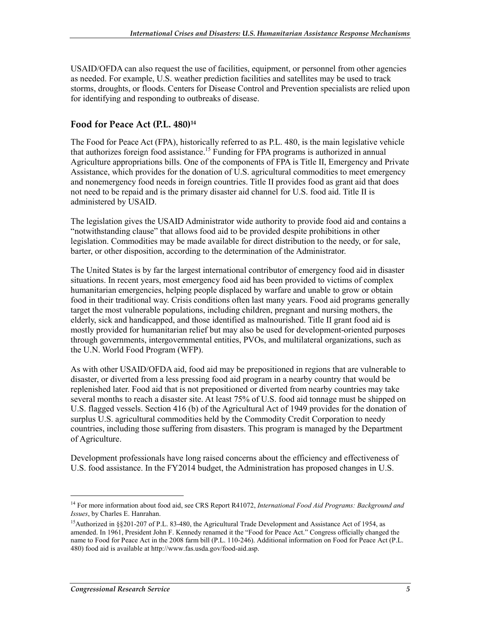USAID/OFDA can also request the use of facilities, equipment, or personnel from other agencies as needed. For example, U.S. weather prediction facilities and satellites may be used to track storms, droughts, or floods. Centers for Disease Control and Prevention specialists are relied upon for identifying and responding to outbreaks of disease.

#### **Food for Peace Act (P.L. 480)14**

The Food for Peace Act (FPA), historically referred to as P.L. 480, is the main legislative vehicle that authorizes foreign food assistance.<sup>15</sup> Funding for FPA programs is authorized in annual Agriculture appropriations bills. One of the components of FPA is Title II, Emergency and Private Assistance, which provides for the donation of U.S. agricultural commodities to meet emergency and nonemergency food needs in foreign countries. Title II provides food as grant aid that does not need to be repaid and is the primary disaster aid channel for U.S. food aid. Title II is administered by USAID.

The legislation gives the USAID Administrator wide authority to provide food aid and contains a "notwithstanding clause" that allows food aid to be provided despite prohibitions in other legislation. Commodities may be made available for direct distribution to the needy, or for sale, barter, or other disposition, according to the determination of the Administrator.

The United States is by far the largest international contributor of emergency food aid in disaster situations. In recent years, most emergency food aid has been provided to victims of complex humanitarian emergencies, helping people displaced by warfare and unable to grow or obtain food in their traditional way. Crisis conditions often last many years. Food aid programs generally target the most vulnerable populations, including children, pregnant and nursing mothers, the elderly, sick and handicapped, and those identified as malnourished. Title II grant food aid is mostly provided for humanitarian relief but may also be used for development-oriented purposes through governments, intergovernmental entities, PVOs, and multilateral organizations, such as the U.N. World Food Program (WFP).

As with other USAID/OFDA aid, food aid may be prepositioned in regions that are vulnerable to disaster, or diverted from a less pressing food aid program in a nearby country that would be replenished later. Food aid that is not prepositioned or diverted from nearby countries may take several months to reach a disaster site. At least 75% of U.S. food aid tonnage must be shipped on U.S. flagged vessels. Section 416 (b) of the Agricultural Act of 1949 provides for the donation of surplus U.S. agricultural commodities held by the Commodity Credit Corporation to needy countries, including those suffering from disasters. This program is managed by the Department of Agriculture.

Development professionals have long raised concerns about the efficiency and effectiveness of U.S. food assistance. In the FY2014 budget, the Administration has proposed changes in U.S.

 $\overline{a}$ 

<sup>14</sup> For more information about food aid, see CRS Report R41072, *International Food Aid Programs: Background and Issues*, by Charles E. Hanrahan.

<sup>&</sup>lt;sup>15</sup>Authorized in §§201-207 of P.L. 83-480, the Agricultural Trade Development and Assistance Act of 1954, as amended. In 1961, President John F. Kennedy renamed it the "Food for Peace Act." Congress officially changed the name to Food for Peace Act in the 2008 farm bill (P.L. 110-246). Additional information on Food for Peace Act (P.L. 480) food aid is available at http://www.fas.usda.gov/food-aid.asp.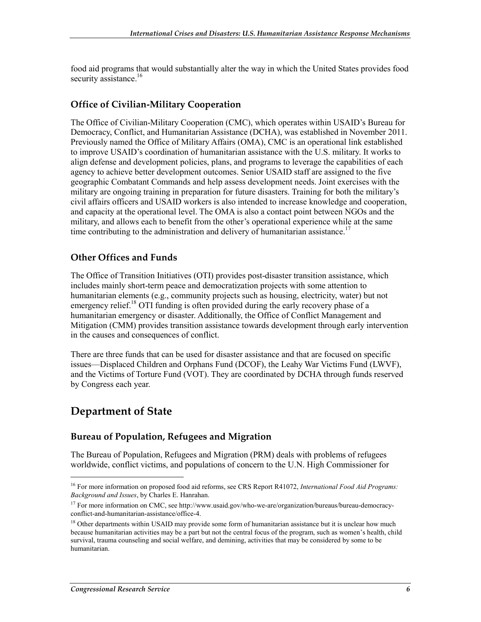food aid programs that would substantially alter the way in which the United States provides food security assistance.<sup>16</sup>

#### **Office of Civilian-Military Cooperation**

The Office of Civilian-Military Cooperation (CMC), which operates within USAID's Bureau for Democracy, Conflict, and Humanitarian Assistance (DCHA), was established in November 2011. Previously named the Office of Military Affairs (OMA), CMC is an operational link established to improve USAID's coordination of humanitarian assistance with the U.S. military. It works to align defense and development policies, plans, and programs to leverage the capabilities of each agency to achieve better development outcomes. Senior USAID staff are assigned to the five geographic Combatant Commands and help assess development needs. Joint exercises with the military are ongoing training in preparation for future disasters. Training for both the military's civil affairs officers and USAID workers is also intended to increase knowledge and cooperation, and capacity at the operational level. The OMA is also a contact point between NGOs and the military, and allows each to benefit from the other's operational experience while at the same time contributing to the administration and delivery of humanitarian assistance.<sup>17</sup>

#### **Other Offices and Funds**

The Office of Transition Initiatives (OTI) provides post-disaster transition assistance, which includes mainly short-term peace and democratization projects with some attention to humanitarian elements (e.g., community projects such as housing, electricity, water) but not emergency relief.<sup>18</sup> OTI funding is often provided during the early recovery phase of a humanitarian emergency or disaster. Additionally, the Office of Conflict Management and Mitigation (CMM) provides transition assistance towards development through early intervention in the causes and consequences of conflict.

There are three funds that can be used for disaster assistance and that are focused on specific issues—Displaced Children and Orphans Fund (DCOF), the Leahy War Victims Fund (LWVF), and the Victims of Torture Fund (VOT). They are coordinated by DCHA through funds reserved by Congress each year.

#### **Department of State**

1

#### **Bureau of Population, Refugees and Migration**

The Bureau of Population, Refugees and Migration (PRM) deals with problems of refugees worldwide, conflict victims, and populations of concern to the U.N. High Commissioner for

<sup>16</sup> For more information on proposed food aid reforms, see CRS Report R41072, *International Food Aid Programs: Background and Issues*, by Charles E. Hanrahan.

<sup>&</sup>lt;sup>17</sup> For more information on CMC, see http://www.usaid.gov/who-we-are/organization/bureaus/bureau-democracyconflict-and-humanitarian-assistance/office-4.

<sup>&</sup>lt;sup>18</sup> Other departments within USAID may provide some form of humanitarian assistance but it is unclear how much because humanitarian activities may be a part but not the central focus of the program, such as women's health, child survival, trauma counseling and social welfare, and demining, activities that may be considered by some to be humanitarian.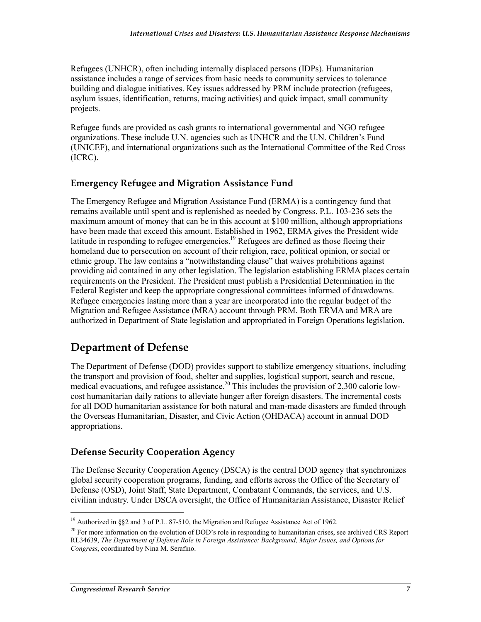Refugees (UNHCR), often including internally displaced persons (IDPs). Humanitarian assistance includes a range of services from basic needs to community services to tolerance building and dialogue initiatives. Key issues addressed by PRM include protection (refugees, asylum issues, identification, returns, tracing activities) and quick impact, small community projects.

Refugee funds are provided as cash grants to international governmental and NGO refugee organizations. These include U.N. agencies such as UNHCR and the U.N. Children's Fund (UNICEF), and international organizations such as the International Committee of the Red Cross (ICRC).

#### **Emergency Refugee and Migration Assistance Fund**

The Emergency Refugee and Migration Assistance Fund (ERMA) is a contingency fund that remains available until spent and is replenished as needed by Congress. P.L. 103-236 sets the maximum amount of money that can be in this account at \$100 million, although appropriations have been made that exceed this amount. Established in 1962, ERMA gives the President wide latitude in responding to refugee emergencies.<sup>19</sup> Refugees are defined as those fleeing their homeland due to persecution on account of their religion, race, political opinion, or social or ethnic group. The law contains a "notwithstanding clause" that waives prohibitions against providing aid contained in any other legislation. The legislation establishing ERMA places certain requirements on the President. The President must publish a Presidential Determination in the Federal Register and keep the appropriate congressional committees informed of drawdowns. Refugee emergencies lasting more than a year are incorporated into the regular budget of the Migration and Refugee Assistance (MRA) account through PRM. Both ERMA and MRA are authorized in Department of State legislation and appropriated in Foreign Operations legislation.

#### **Department of Defense**

The Department of Defense (DOD) provides support to stabilize emergency situations, including the transport and provision of food, shelter and supplies, logistical support, search and rescue, medical evacuations, and refugee assistance.<sup>20</sup> This includes the provision of 2,300 calorie lowcost humanitarian daily rations to alleviate hunger after foreign disasters. The incremental costs for all DOD humanitarian assistance for both natural and man-made disasters are funded through the Overseas Humanitarian, Disaster, and Civic Action (OHDACA) account in annual DOD appropriations.

#### **Defense Security Cooperation Agency**

The Defense Security Cooperation Agency (DSCA) is the central DOD agency that synchronizes global security cooperation programs, funding, and efforts across the Office of the Secretary of Defense (OSD), Joint Staff, State Department, Combatant Commands, the services, and U.S. civilian industry. Under DSCA oversight, the Office of Humanitarian Assistance, Disaster Relief

<sup>&</sup>lt;sup>19</sup> Authorized in §§2 and 3 of P.L. 87-510, the Migration and Refugee Assistance Act of 1962.

 $20$  For more information on the evolution of DOD's role in responding to humanitarian crises, see archived CRS Report RL34639, *The Department of Defense Role in Foreign Assistance: Background, Major Issues, and Options for Congress*, coordinated by Nina M. Serafino.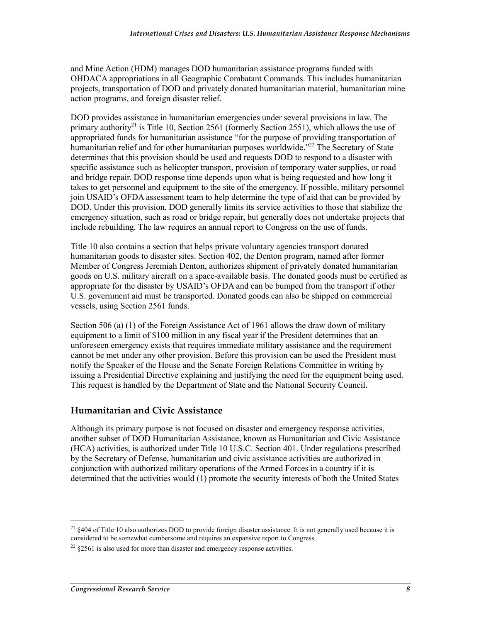and Mine Action (HDM) manages DOD humanitarian assistance programs funded with OHDACA appropriations in all Geographic Combatant Commands. This includes humanitarian projects, transportation of DOD and privately donated humanitarian material, humanitarian mine action programs, and foreign disaster relief.

DOD provides assistance in humanitarian emergencies under several provisions in law. The primary authority<sup>21</sup> is Title 10, Section 2561 (formerly Section 2551), which allows the use of appropriated funds for humanitarian assistance "for the purpose of providing transportation of humanitarian relief and for other humanitarian purposes worldwide.<sup>722</sup> The Secretary of State determines that this provision should be used and requests DOD to respond to a disaster with specific assistance such as helicopter transport, provision of temporary water supplies, or road and bridge repair. DOD response time depends upon what is being requested and how long it takes to get personnel and equipment to the site of the emergency. If possible, military personnel join USAID's OFDA assessment team to help determine the type of aid that can be provided by DOD. Under this provision, DOD generally limits its service activities to those that stabilize the emergency situation, such as road or bridge repair, but generally does not undertake projects that include rebuilding. The law requires an annual report to Congress on the use of funds.

Title 10 also contains a section that helps private voluntary agencies transport donated humanitarian goods to disaster sites. Section 402, the Denton program, named after former Member of Congress Jeremiah Denton, authorizes shipment of privately donated humanitarian goods on U.S. military aircraft on a space-available basis. The donated goods must be certified as appropriate for the disaster by USAID's OFDA and can be bumped from the transport if other U.S. government aid must be transported. Donated goods can also be shipped on commercial vessels, using Section 2561 funds.

Section 506 (a) (1) of the Foreign Assistance Act of 1961 allows the draw down of military equipment to a limit of \$100 million in any fiscal year if the President determines that an unforeseen emergency exists that requires immediate military assistance and the requirement cannot be met under any other provision. Before this provision can be used the President must notify the Speaker of the House and the Senate Foreign Relations Committee in writing by issuing a Presidential Directive explaining and justifying the need for the equipment being used. This request is handled by the Department of State and the National Security Council.

#### **Humanitarian and Civic Assistance**

Although its primary purpose is not focused on disaster and emergency response activities, another subset of DOD Humanitarian Assistance, known as Humanitarian and Civic Assistance (HCA) activities, is authorized under Title 10 U.S.C. Section 401. Under regulations prescribed by the Secretary of Defense, humanitarian and civic assistance activities are authorized in conjunction with authorized military operations of the Armed Forces in a country if it is determined that the activities would (1) promote the security interests of both the United States

 $^{21}$  §404 of Title 10 also authorizes DOD to provide foreign disaster assistance. It is not generally used because it is considered to be somewhat cumbersome and requires an expansive report to Congress.

 $^{22}$  §2561 is also used for more than disaster and emergency response activities.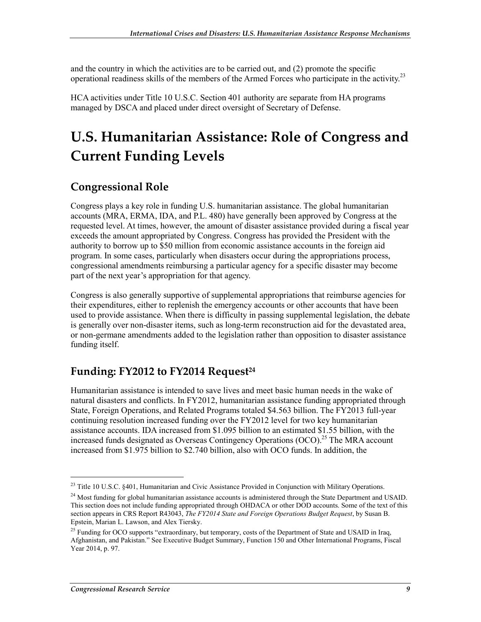and the country in which the activities are to be carried out, and (2) promote the specific operational readiness skills of the members of the Armed Forces who participate in the activity.23

HCA activities under Title 10 U.S.C. Section 401 authority are separate from HA programs managed by DSCA and placed under direct oversight of Secretary of Defense.

## **U.S. Humanitarian Assistance: Role of Congress and Current Funding Levels**

#### **Congressional Role**

Congress plays a key role in funding U.S. humanitarian assistance. The global humanitarian accounts (MRA, ERMA, IDA, and P.L. 480) have generally been approved by Congress at the requested level. At times, however, the amount of disaster assistance provided during a fiscal year exceeds the amount appropriated by Congress. Congress has provided the President with the authority to borrow up to \$50 million from economic assistance accounts in the foreign aid program. In some cases, particularly when disasters occur during the appropriations process, congressional amendments reimbursing a particular agency for a specific disaster may become part of the next year's appropriation for that agency.

Congress is also generally supportive of supplemental appropriations that reimburse agencies for their expenditures, either to replenish the emergency accounts or other accounts that have been used to provide assistance. When there is difficulty in passing supplemental legislation, the debate is generally over non-disaster items, such as long-term reconstruction aid for the devastated area, or non-germane amendments added to the legislation rather than opposition to disaster assistance funding itself.

### Funding: FY2012 to FY2014 Request<sup>24</sup>

Humanitarian assistance is intended to save lives and meet basic human needs in the wake of natural disasters and conflicts. In FY2012, humanitarian assistance funding appropriated through State, Foreign Operations, and Related Programs totaled \$4.563 billion. The FY2013 full-year continuing resolution increased funding over the FY2012 level for two key humanitarian assistance accounts. IDA increased from \$1.095 billion to an estimated \$1.55 billion, with the increased funds designated as Overseas Contingency Operations  $(OCO)$ <sup>25</sup>. The MRA account increased from \$1.975 billion to \$2.740 billion, also with OCO funds. In addition, the

<sup>&</sup>lt;sup>23</sup> Title 10 U.S.C. §401, Humanitarian and Civic Assistance Provided in Conjunction with Military Operations.

<sup>&</sup>lt;sup>24</sup> Most funding for global humanitarian assistance accounts is administered through the State Department and USAID. This section does not include funding appropriated through OHDACA or other DOD accounts. Some of the text of this section appears in CRS Report R43043, *The FY2014 State and Foreign Operations Budget Request*, by Susan B. Epstein, Marian L. Lawson, and Alex Tiersky.

<sup>&</sup>lt;sup>25</sup> Funding for OCO supports "extraordinary, but temporary, costs of the Department of State and USAID in Iraq, Afghanistan, and Pakistan." See Executive Budget Summary, Function 150 and Other International Programs, Fiscal Year 2014, p. 97.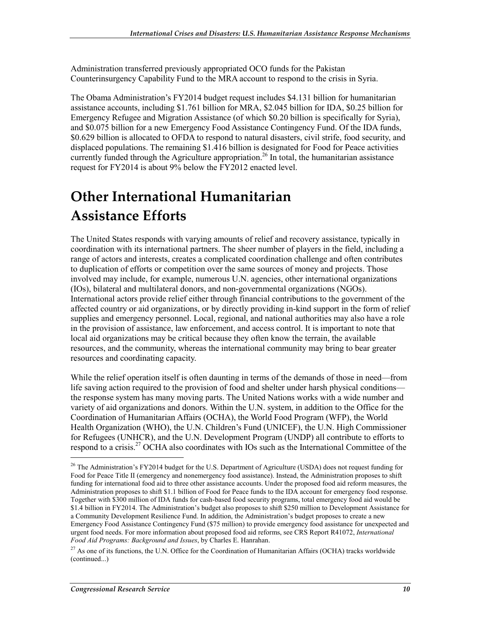Administration transferred previously appropriated OCO funds for the Pakistan Counterinsurgency Capability Fund to the MRA account to respond to the crisis in Syria.

The Obama Administration's FY2014 budget request includes \$4.131 billion for humanitarian assistance accounts, including \$1.761 billion for MRA, \$2.045 billion for IDA, \$0.25 billion for Emergency Refugee and Migration Assistance (of which \$0.20 billion is specifically for Syria), and \$0.075 billion for a new Emergency Food Assistance Contingency Fund. Of the IDA funds, \$0.629 billion is allocated to OFDA to respond to natural disasters, civil strife, food security, and displaced populations. The remaining \$1.416 billion is designated for Food for Peace activities currently funded through the Agriculture appropriation.<sup>26</sup> In total, the humanitarian assistance request for FY2014 is about 9% below the FY2012 enacted level.

## **Other International Humanitarian Assistance Efforts**

The United States responds with varying amounts of relief and recovery assistance, typically in coordination with its international partners. The sheer number of players in the field, including a range of actors and interests, creates a complicated coordination challenge and often contributes to duplication of efforts or competition over the same sources of money and projects. Those involved may include, for example, numerous U.N. agencies, other international organizations (IOs), bilateral and multilateral donors, and non-governmental organizations (NGOs). International actors provide relief either through financial contributions to the government of the affected country or aid organizations, or by directly providing in-kind support in the form of relief supplies and emergency personnel. Local, regional, and national authorities may also have a role in the provision of assistance, law enforcement, and access control. It is important to note that local aid organizations may be critical because they often know the terrain, the available resources, and the community, whereas the international community may bring to bear greater resources and coordinating capacity.

While the relief operation itself is often daunting in terms of the demands of those in need—from life saving action required to the provision of food and shelter under harsh physical conditions the response system has many moving parts. The United Nations works with a wide number and variety of aid organizations and donors. Within the U.N. system, in addition to the Office for the Coordination of Humanitarian Affairs (OCHA), the World Food Program (WFP), the World Health Organization (WHO), the U.N. Children's Fund (UNICEF), the U.N. High Commissioner for Refugees (UNHCR), and the U.N. Development Program (UNDP) all contribute to efforts to respond to a crisis.<sup>27</sup> OCHA also coordinates with IOs such as the International Committee of the

 $\overline{a}$ 

<sup>&</sup>lt;sup>26</sup> The Administration's FY2014 budget for the U.S. Department of Agriculture (USDA) does not request funding for Food for Peace Title II (emergency and nonemergency food assistance). Instead, the Administration proposes to shift funding for international food aid to three other assistance accounts. Under the proposed food aid reform measures, the Administration proposes to shift \$1.1 billion of Food for Peace funds to the IDA account for emergency food response. Together with \$300 million of IDA funds for cash-based food security programs, total emergency food aid would be \$1.4 billion in FY2014. The Administration's budget also proposes to shift \$250 million to Development Assistance for a Community Development Resilience Fund. In addition, the Administration's budget proposes to create a new Emergency Food Assistance Contingency Fund (\$75 million) to provide emergency food assistance for unexpected and urgent food needs. For more information about proposed food aid reforms, see CRS Report R41072, *International Food Aid Programs: Background and Issues*, by Charles E. Hanrahan.

 $^{27}$  As one of its functions, the U.N. Office for the Coordination of Humanitarian Affairs (OCHA) tracks worldwide (continued...)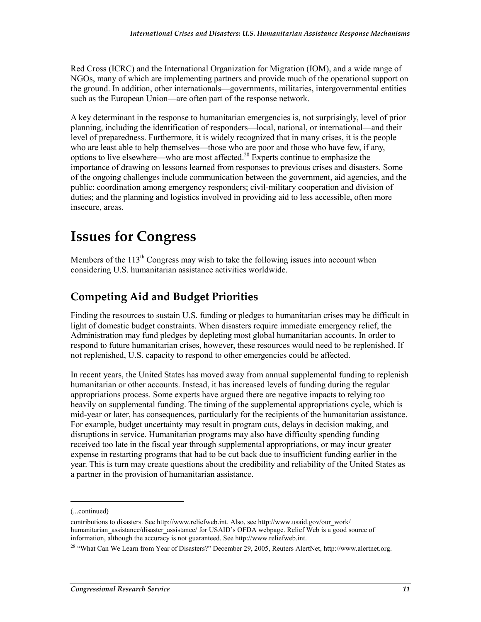Red Cross (ICRC) and the International Organization for Migration (IOM), and a wide range of NGOs, many of which are implementing partners and provide much of the operational support on the ground. In addition, other internationals—governments, militaries, intergovernmental entities such as the European Union—are often part of the response network.

A key determinant in the response to humanitarian emergencies is, not surprisingly, level of prior planning, including the identification of responders—local, national, or international—and their level of preparedness. Furthermore, it is widely recognized that in many crises, it is the people who are least able to help themselves—those who are poor and those who have few, if any, options to live elsewhere—who are most affected.28 Experts continue to emphasize the importance of drawing on lessons learned from responses to previous crises and disasters. Some of the ongoing challenges include communication between the government, aid agencies, and the public; coordination among emergency responders; civil-military cooperation and division of duties; and the planning and logistics involved in providing aid to less accessible, often more insecure, areas.

## **Issues for Congress**

Members of the  $113<sup>th</sup>$  Congress may wish to take the following issues into account when considering U.S. humanitarian assistance activities worldwide.

### **Competing Aid and Budget Priorities**

Finding the resources to sustain U.S. funding or pledges to humanitarian crises may be difficult in light of domestic budget constraints. When disasters require immediate emergency relief, the Administration may fund pledges by depleting most global humanitarian accounts. In order to respond to future humanitarian crises, however, these resources would need to be replenished. If not replenished, U.S. capacity to respond to other emergencies could be affected.

In recent years, the United States has moved away from annual supplemental funding to replenish humanitarian or other accounts. Instead, it has increased levels of funding during the regular appropriations process. Some experts have argued there are negative impacts to relying too heavily on supplemental funding. The timing of the supplemental appropriations cycle, which is mid-year or later, has consequences, particularly for the recipients of the humanitarian assistance. For example, budget uncertainty may result in program cuts, delays in decision making, and disruptions in service. Humanitarian programs may also have difficulty spending funding received too late in the fiscal year through supplemental appropriations, or may incur greater expense in restarting programs that had to be cut back due to insufficient funding earlier in the year. This is turn may create questions about the credibility and reliability of the United States as a partner in the provision of humanitarian assistance.

<sup>(...</sup>continued)

contributions to disasters. See http://www.reliefweb.int. Also, see http://www.usaid.gov/our\_work/ humanitarian\_assistance/disaster\_assistance/ for USAID's OFDA webpage. Relief Web is a good source of information, although the accuracy is not guaranteed. See http://www.reliefweb.int.

<sup>&</sup>lt;sup>28</sup> "What Can We Learn from Year of Disasters?" December 29, 2005, Reuters AlertNet, http://www.alertnet.org.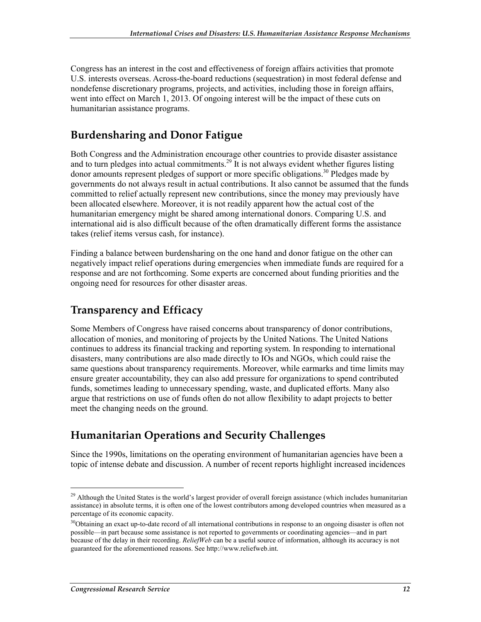Congress has an interest in the cost and effectiveness of foreign affairs activities that promote U.S. interests overseas. Across-the-board reductions (sequestration) in most federal defense and nondefense discretionary programs, projects, and activities, including those in foreign affairs, went into effect on March 1, 2013. Of ongoing interest will be the impact of these cuts on humanitarian assistance programs.

### **Burdensharing and Donor Fatigue**

Both Congress and the Administration encourage other countries to provide disaster assistance and to turn pledges into actual commitments.<sup>29</sup> It is not always evident whether figures listing donor amounts represent pledges of support or more specific obligations.<sup>30</sup> Pledges made by governments do not always result in actual contributions. It also cannot be assumed that the funds committed to relief actually represent new contributions, since the money may previously have been allocated elsewhere. Moreover, it is not readily apparent how the actual cost of the humanitarian emergency might be shared among international donors. Comparing U.S. and international aid is also difficult because of the often dramatically different forms the assistance takes (relief items versus cash, for instance).

Finding a balance between burdensharing on the one hand and donor fatigue on the other can negatively impact relief operations during emergencies when immediate funds are required for a response and are not forthcoming. Some experts are concerned about funding priorities and the ongoing need for resources for other disaster areas.

### **Transparency and Efficacy**

Some Members of Congress have raised concerns about transparency of donor contributions, allocation of monies, and monitoring of projects by the United Nations. The United Nations continues to address its financial tracking and reporting system. In responding to international disasters, many contributions are also made directly to IOs and NGOs, which could raise the same questions about transparency requirements. Moreover, while earmarks and time limits may ensure greater accountability, they can also add pressure for organizations to spend contributed funds, sometimes leading to unnecessary spending, waste, and duplicated efforts. Many also argue that restrictions on use of funds often do not allow flexibility to adapt projects to better meet the changing needs on the ground.

### **Humanitarian Operations and Security Challenges**

Since the 1990s, limitations on the operating environment of humanitarian agencies have been a topic of intense debate and discussion. A number of recent reports highlight increased incidences

<sup>&</sup>lt;sup>29</sup> Although the United States is the world's largest provider of overall foreign assistance (which includes humanitarian assistance) in absolute terms, it is often one of the lowest contributors among developed countries when measured as a percentage of its economic capacity.

<sup>&</sup>lt;sup>30</sup>Obtaining an exact up-to-date record of all international contributions in response to an ongoing disaster is often not possible—in part because some assistance is not reported to governments or coordinating agencies—and in part because of the delay in their recording. *ReliefWeb* can be a useful source of information, although its accuracy is not guaranteed for the aforementioned reasons. See http://www.reliefweb.int.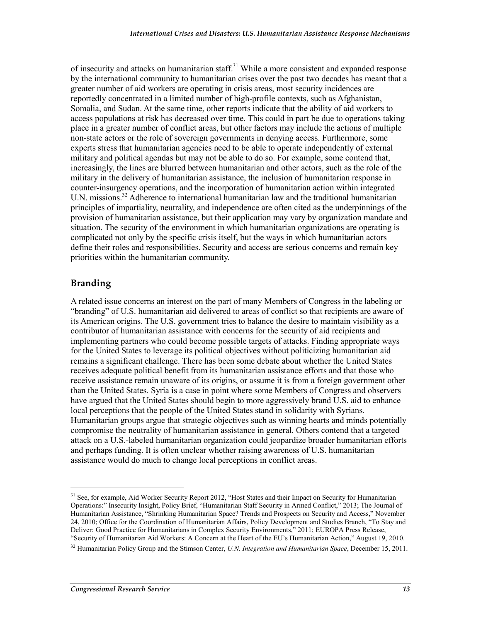of insecurity and attacks on humanitarian staff.<sup>31</sup> While a more consistent and expanded response by the international community to humanitarian crises over the past two decades has meant that a greater number of aid workers are operating in crisis areas, most security incidences are reportedly concentrated in a limited number of high-profile contexts, such as Afghanistan, Somalia, and Sudan. At the same time, other reports indicate that the ability of aid workers to access populations at risk has decreased over time. This could in part be due to operations taking place in a greater number of conflict areas, but other factors may include the actions of multiple non-state actors or the role of sovereign governments in denying access. Furthermore, some experts stress that humanitarian agencies need to be able to operate independently of external military and political agendas but may not be able to do so. For example, some contend that, increasingly, the lines are blurred between humanitarian and other actors, such as the role of the military in the delivery of humanitarian assistance, the inclusion of humanitarian response in counter-insurgency operations, and the incorporation of humanitarian action within integrated U.N. missions.<sup>32</sup> Adherence to international humanitarian law and the traditional humanitarian principles of impartiality, neutrality, and independence are often cited as the underpinnings of the provision of humanitarian assistance, but their application may vary by organization mandate and situation. The security of the environment in which humanitarian organizations are operating is complicated not only by the specific crisis itself, but the ways in which humanitarian actors define their roles and responsibilities. Security and access are serious concerns and remain key priorities within the humanitarian community.

#### **Branding**

1

A related issue concerns an interest on the part of many Members of Congress in the labeling or "branding" of U.S. humanitarian aid delivered to areas of conflict so that recipients are aware of its American origins. The U.S. government tries to balance the desire to maintain visibility as a contributor of humanitarian assistance with concerns for the security of aid recipients and implementing partners who could become possible targets of attacks. Finding appropriate ways for the United States to leverage its political objectives without politicizing humanitarian aid remains a significant challenge. There has been some debate about whether the United States receives adequate political benefit from its humanitarian assistance efforts and that those who receive assistance remain unaware of its origins, or assume it is from a foreign government other than the United States. Syria is a case in point where some Members of Congress and observers have argued that the United States should begin to more aggressively brand U.S. aid to enhance local perceptions that the people of the United States stand in solidarity with Syrians. Humanitarian groups argue that strategic objectives such as winning hearts and minds potentially compromise the neutrality of humanitarian assistance in general. Others contend that a targeted attack on a U.S.-labeled humanitarian organization could jeopardize broader humanitarian efforts and perhaps funding. It is often unclear whether raising awareness of U.S. humanitarian assistance would do much to change local perceptions in conflict areas.

<sup>&</sup>lt;sup>31</sup> See, for example, Aid Worker Security Report 2012, "Host States and their Impact on Security for Humanitarian Operations:" Insecurity Insight, Policy Brief, "Humanitarian Staff Security in Armed Conflict," 2013; The Journal of Humanitarian Assistance, "Shrinking Humanitarian Space? Trends and Prospects on Security and Access," November 24, 2010; Office for the Coordination of Humanitarian Affairs, Policy Development and Studies Branch, "To Stay and Deliver: Good Practice for Humanitarians in Complex Security Environments," 2011; EUROPA Press Release, "Security of Humanitarian Aid Workers: A Concern at the Heart of the EU's Humanitarian Action," August 19, 2010.

<sup>32</sup> Humanitarian Policy Group and the Stimson Center, *U.N. Integration and Humanitarian Space*, December 15, 2011.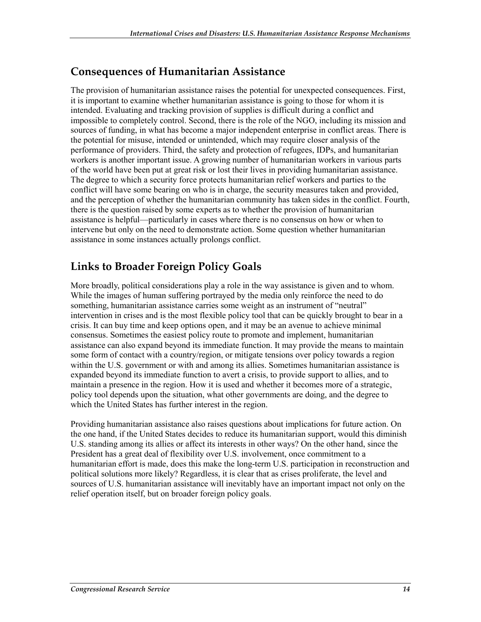#### **Consequences of Humanitarian Assistance**

The provision of humanitarian assistance raises the potential for unexpected consequences. First, it is important to examine whether humanitarian assistance is going to those for whom it is intended. Evaluating and tracking provision of supplies is difficult during a conflict and impossible to completely control. Second, there is the role of the NGO, including its mission and sources of funding, in what has become a major independent enterprise in conflict areas. There is the potential for misuse, intended or unintended, which may require closer analysis of the performance of providers. Third, the safety and protection of refugees, IDPs, and humanitarian workers is another important issue. A growing number of humanitarian workers in various parts of the world have been put at great risk or lost their lives in providing humanitarian assistance. The degree to which a security force protects humanitarian relief workers and parties to the conflict will have some bearing on who is in charge, the security measures taken and provided, and the perception of whether the humanitarian community has taken sides in the conflict. Fourth, there is the question raised by some experts as to whether the provision of humanitarian assistance is helpful—particularly in cases where there is no consensus on how or when to intervene but only on the need to demonstrate action. Some question whether humanitarian assistance in some instances actually prolongs conflict.

### **Links to Broader Foreign Policy Goals**

More broadly, political considerations play a role in the way assistance is given and to whom. While the images of human suffering portrayed by the media only reinforce the need to do something, humanitarian assistance carries some weight as an instrument of "neutral" intervention in crises and is the most flexible policy tool that can be quickly brought to bear in a crisis. It can buy time and keep options open, and it may be an avenue to achieve minimal consensus. Sometimes the easiest policy route to promote and implement, humanitarian assistance can also expand beyond its immediate function. It may provide the means to maintain some form of contact with a country/region, or mitigate tensions over policy towards a region within the U.S. government or with and among its allies. Sometimes humanitarian assistance is expanded beyond its immediate function to avert a crisis, to provide support to allies, and to maintain a presence in the region. How it is used and whether it becomes more of a strategic, policy tool depends upon the situation, what other governments are doing, and the degree to which the United States has further interest in the region.

Providing humanitarian assistance also raises questions about implications for future action. On the one hand, if the United States decides to reduce its humanitarian support, would this diminish U.S. standing among its allies or affect its interests in other ways? On the other hand, since the President has a great deal of flexibility over U.S. involvement, once commitment to a humanitarian effort is made, does this make the long-term U.S. participation in reconstruction and political solutions more likely? Regardless, it is clear that as crises proliferate, the level and sources of U.S. humanitarian assistance will inevitably have an important impact not only on the relief operation itself, but on broader foreign policy goals.